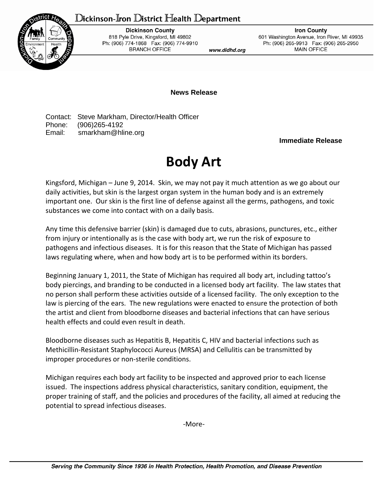## Dickinson-Iron District Health Department



**Dickinson County** 818 Pyle Drive, Kingsford, MI 49802 Ph: (906) 774-1868 Fax: (906) 774-9910 **BRANCH OFFICE** 

www.didhd.org

**Iron County** 601 Washington Avenue, Iron River, MI 49935 Ph: (906) 265-9913 Fax: (906) 265-2950 **MAIN OFFICE** 

**News Release**

Contact: Steve Markham, Director/Health Officer Phone: (906)265-4192 Email: smarkham@hline.org

## **Immediate Release**

## **Body Art**

Kingsford, Michigan – June 9, 2014. Skin, we may not pay it much attention as we go about our daily activities, but skin is the largest organ system in the human body and is an extremely important one. Our skin is the first line of defense against all the germs, pathogens, and toxic substances we come into contact with on a daily basis.

Any time this defensive barrier (skin) is damaged due to cuts, abrasions, punctures, etc., either from injury or intentionally as is the case with body art, we run the risk of exposure to pathogens and infectious diseases. It is for this reason that the State of Michigan has passed laws regulating where, when and how body art is to be performed within its borders.

Beginning January 1, 2011, the State of Michigan has required all body art, including tattoo's body piercings, and branding to be conducted in a licensed body art facility. The law states that no person shall perform these activities outside of a licensed facility. The only exception to the law is piercing of the ears. The new regulations were enacted to ensure the protection of both the artist and client from bloodborne diseases and bacterial infections that can have serious health effects and could even result in death.

Bloodborne diseases such as Hepatitis B, Hepatitis C, HIV and bacterial infections such as Methicillin-Resistant Staphylococci Aureus (MRSA) and Cellulitis can be transmitted by improper procedures or non-sterile conditions.

Michigan requires each body art facility to be inspected and approved prior to each license issued. The inspections address physical characteristics, sanitary condition, equipment, the proper training of staff, and the policies and procedures of the facility, all aimed at reducing the potential to spread infectious diseases.

-More-